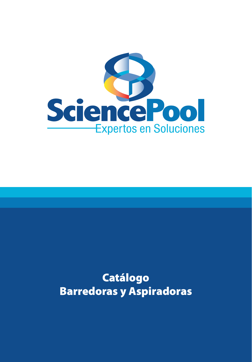

# Catálogo Barredoras y Aspiradoras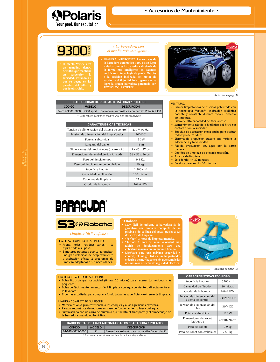

**APolaris** 

Your pool. Our reputation.

que se pegue en las<br>paredes del filtro y<br>quede obstruido.

# • La barredora con el diseño más inteligente ·

· LIMPIEZA INTELIGENTE. Las ventajas de la barredora automática 9300 es sin lugar a dudas que es la barredora diseñada de la forma más inteligente. 15 patentes certifican su tecnología de punta. Gracias<br>a la posición inclinada del motor de succión y el flujo hidráulico generado, se<br>logra la primer barredora patentada con<br>TECNOLOGIA VORTEX.



| <b>BARREDORAS DE LUJO AUTOMÁTICAS / POLARIS</b>             |               |                                                                               |  |  |
|-------------------------------------------------------------|---------------|-------------------------------------------------------------------------------|--|--|
| <b>CÓDIGO</b>                                               | <b>MODELO</b> | <b>DESCRIPCIÓN</b>                                                            |  |  |
|                                                             |               | 84-019-9300-0000   9300 sport   Barredora automática con carrito Polaris 9300 |  |  |
| * Trepa muros, escalones. Incluye filtración independiente. |               |                                                                               |  |  |

| <b>CARACTERÍSTICAS TÉCNICAS</b>                |                              |  |  |  |
|------------------------------------------------|------------------------------|--|--|--|
| Tensión de alimentación del sistema de control | 230 V 60 Hz                  |  |  |  |
| Tensión de alimentación del limpiafondos       | 30 VDC                       |  |  |  |
| Potencia absorvida                             | 150W                         |  |  |  |
| Longitud del cable                             | 18 <sub>m</sub>              |  |  |  |
| Dimensiones del limpiafondos (L x An x Al)     | $43 \times 48 \times 27$ cm. |  |  |  |
| Dimensiones del embalaje (L x An x Al)         | 56 x 56 x 56 cm.             |  |  |  |
| Peso del limpiafondos                          | 9.5 Kg.                      |  |  |  |
| Peso del limpiafondos con embalaje             | 19 Kg.                       |  |  |  |
| Superficie filtrante                           | 1,280 cm <sup>2</sup>        |  |  |  |
| Capacidad de filtración                        | 100 micras.                  |  |  |  |
| Cobertura de limpieza                          | $27 \text{ cm}$ .            |  |  |  |
| Caudal de la bomba                             | 266.6 LPM                    |  |  |  |

#### **VENTAJAS.**

- Primer limpiafondos de piscinas patentado con la tecnología Vortex<sup>™</sup>; aspiración ciclónica potente y constante durante todo el proceso de limpieza.
- Filtro de alta capacidad de fácil acceso.<br>• Mantenimiento rápido e higiénico del filtro sin
- contacto con la suciedad.
- · Boquilla de aspiración extra ancha para aspirar todo tipo de residuos.
- Sistema de propulsión trasera que mejora la adherencia y la velocidad.
- · Rápida evacuación del agua por la parte trasera.
- Cepillos de limpieza de elevada rotación.
- · 2 ciclos de limpieza.
- · Sólo fondo: 1h 30 minutos.
- Fondo y paredes: 2h 30 minutos.

# **BARACUDA®**



### · Limpieza fácil y eficaz ·

- LIMPIEZA COMPLETA DE SU PISCINA · Arena, hojas, residuos varios..., lo
- aspira todo a su paso. • 2 motores potentes que le garantizan
- una gran velocidad de desplazamiento y aspiración eficaz. 2 programas de<br>limpieza adaptados a sus necesidades.

# **S3 Robotic**

- Muy fácil de utilizar, la barredora S3 le garantiza una limpieza completa de su<br>piscina y de la línea del agua, gracias a sus dos ciclos de limpieza:<br>"Perfect": 3 horas de limpieza intensiva,
- 
- 
- "Perect" : 3 noras de impieza intensiva,<br>"Turbo": 1 hora 30 min, velocidad más<br>rápida de desplazamiento para una<br>cobertura máxima en un mínimo tiempo.<br>Diseñado para una máxima seguridad y<br>confort, el indigo TM es un limpia



Refacciones pág.154

#### **LIMPIFZA COMPLETA DE SU PISCINA**

- · Bolsa filtro de gran capacidad (finura: 20 micras) para retener los residuos más pequeños.
- · Bolsa de fácil mantenimiento: fácil limpieza con agua corriente o directamente en la lavadora.
- · Esponjas estudiadas para limpiar a fondo todas las superficies y extremar la limpieza.

#### LIMPIEZA COMPLETA DE SU PISCINA

- · Materiales ABS: gran resistencia a los choques y a las agresiones externas.
- · Parada automática de motores en caso de funcionamiento fuera del agua. · Suministrado con un carro de aluminio que facilita el transporte y el almacenaje de
- la barredora cuando no lo utiliza.

| <b>BARREDORAS DE LUJO AUTOMÁTICAS S3 / BARACUDA / POLARIS</b> |                |                                              |  |  |
|---------------------------------------------------------------|----------------|----------------------------------------------|--|--|
| CÓDIGO                                                        | <b>MODELO</b>  | <b>DESCRIPCIÓN</b>                           |  |  |
| 84-019-0003-0000                                              | S <sub>3</sub> | Barredora automática con carrito Baracuda S3 |  |  |
| * Trana muros, escalones, Incluye filtración independiente    |                |                                              |  |  |

| <b>CARACTERÍSTICAS TÉCNICAS</b>                    |                   |  |  |  |
|----------------------------------------------------|-------------------|--|--|--|
| Superficie filtrante:                              | 3200 $cm2$        |  |  |  |
| Capacidad de filtrado:                             | 20 micras         |  |  |  |
| Caudal de la bomba:                                | 266.6 LPM         |  |  |  |
| Tensión de alimentación del<br>sistema de control: | 230 V 60 Hz       |  |  |  |
| Tensión de alimentación del<br>robot:              | 30 V CC           |  |  |  |
| Potencia absorbida:                                | 120 W             |  |  |  |
| Dimensiones del robot<br>(LxAnxAl):                | 42x40x28 cm       |  |  |  |
| Peso del robot:                                    | $9.9 \text{ kg}$  |  |  |  |
| Peso del robot con embalaje:                       | $22.1 \text{ kg}$ |  |  |  |